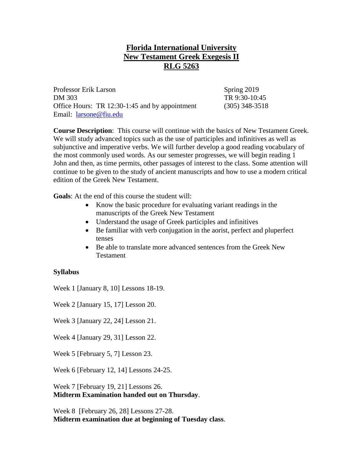## **Florida International University New Testament Greek Exegesis II RLG 5263**

Professor Erik Larson Spring 2019 DM 303 TR 9:30-10:45 Office Hours: TR 12:30-1:45 and by appointment (305) 348-3518 Email: [larsone@fiu.edu](mailto:larsone@fiu.edu)

**Course Description**: This course will continue with the basics of New Testament Greek. We will study advanced topics such as the use of participles and infinitives as well as subjunctive and imperative verbs. We will further develop a good reading vocabulary of the most commonly used words. As our semester progresses, we will begin reading 1 John and then, as time permits, other passages of interest to the class. Some attention will continue to be given to the study of ancient manuscripts and how to use a modern critical edition of the Greek New Testament.

**Goals**: At the end of this course the student will:

- Know the basic procedure for evaluating variant readings in the manuscripts of the Greek New Testament
- Understand the usage of Greek participles and infinitives
- Be familiar with verb conjugation in the aorist, perfect and pluperfect tenses
- Be able to translate more advanced sentences from the Greek New Testament

## **Syllabus**

Week 1 [January 8, 10] Lessons 18-19.

Week 2 [January 15, 17] Lesson 20.

Week 3 [January 22, 24] Lesson 21.

Week 4 [January 29, 31] Lesson 22.

Week 5 [February 5, 7] Lesson 23.

Week 6 [February 12, 14] Lessons 24-25.

Week 7 [February 19, 21] Lessons 26. **Midterm Examination handed out on Thursday**.

Week 8 [February 26, 28] Lessons 27-28. **Midterm examination due at beginning of Tuesday class**.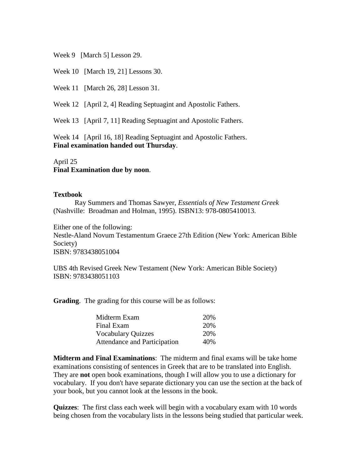Week 9 [March 5] Lesson 29.

Week 10 [March 19, 21] Lessons 30.

Week 11 [March 26, 28] Lesson 31.

Week 12 [April 2, 4] Reading Septuagint and Apostolic Fathers.

Week 13 [April 7, 11] Reading Septuagint and Apostolic Fathers.

Week 14 [April 16, 18] Reading Septuagint and Apostolic Fathers. **Final examination handed out Thursday**.

April 25 **Final Examination due by noon**.

## **Textbook**

Ray Summers and Thomas Sawyer, *Essentials of New Testament Greek*  (Nashville: Broadman and Holman, 1995). ISBN13: 978-0805410013.

Either one of the following:

Nestle-Aland Novum Testamentum Graece 27th Edition (New York: American Bible Society) ISBN: 9783438051004

UBS 4th Revised Greek New Testament (New York: American Bible Society) ISBN: 9783438051103

**Grading**. The grading for this course will be as follows:

| Midterm Exam                 | 20% |
|------------------------------|-----|
| Final Exam                   | 20% |
| <b>Vocabulary Quizzes</b>    | 20% |
| Attendance and Participation | 40% |

**Midterm and Final Examinations**: The midterm and final exams will be take home examinations consisting of sentences in Greek that are to be translated into English. They are **not** open book examinations, though I will allow you to use a dictionary for vocabulary. If you don't have separate dictionary you can use the section at the back of your book, but you cannot look at the lessons in the book.

**Quizzes**: The first class each week will begin with a vocabulary exam with 10 words being chosen from the vocabulary lists in the lessons being studied that particular week.